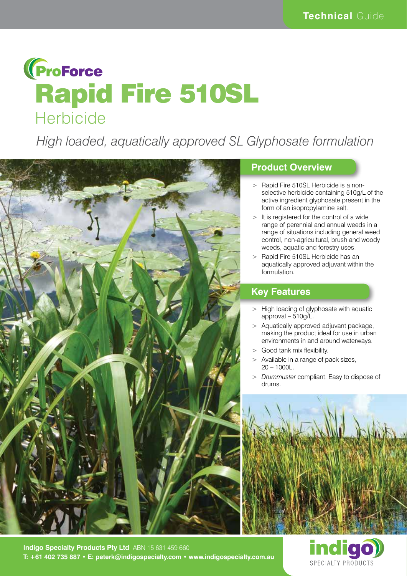

*High loaded, aquatically approved SL Glyphosate formulation*



# **Product Overview**

- > Rapid Fire 510SL Herbicide is a nonselective herbicide containing 510g/L of the active ingredient glyphosate present in the form of an isopropylamine salt.
- > It is registered for the control of a wide range of perennial and annual weeds in a range of situations including general weed control, non-agricultural, brush and woody weeds, aquatic and forestry uses.
- > Rapid Fire 510SL Herbicide has an aquatically approved adjuvant within the formulation.

### **Key Features**

- > High loading of glyphosate with aquatic approval – 510g/L.
- > Aquatically approved adjuvant package, making the product ideal for use in urban environments in and around waterways.
- > Good tank mix flexibility.
- > Available in a range of pack sizes, 20 – 1000L.
- > *Drummuster* compliant. Easy to dispose of drums.





**Indigo Specialty Products Pty Ltd** ABN 15 631 459 660 **T: +61 402 735 887 • E: peterk@indigospecialty.com • www.indigospecialty.com.au**